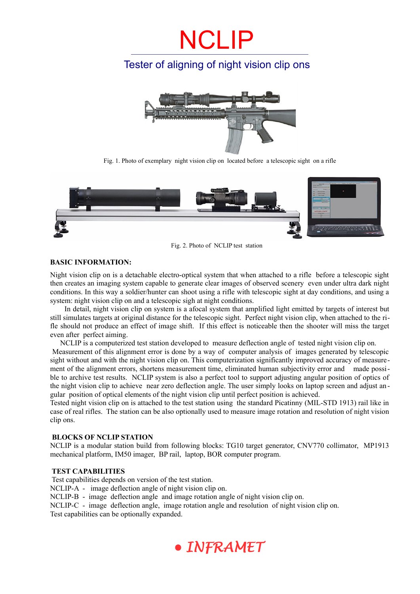## NCLIP

### Tester of aligning of night vision clip ons



Fig. 1. Photo of exemplary night vision clip on located before a telescopic sight on a rifle



Fig. 2. Photo of NCLIP test station

### **BASIC INFORMATION:**

Night vision clip on is a detachable electro-optical system that when attached to a rifle before a telescopic sight then creates an imaging system capable to generate clear images of observed scenery even under ultra dark night conditions. In this way a soldier/hunter can shoot using a rifle with telescopic sight at day conditions, and using a system: night vision clip on and a telescopic sigh at night conditions.

 In detail, night vision clip on system is a afocal system that amplified light emitted by targets of interest but still simulates targets at original distance for the telescopic sight. Perfect night vision clip, when attached to the rifle should not produce an effect of image shift. If this effect is noticeable then the shooter will miss the target even after perfect aiming.

NCLIP is a computerized test station developed to measure deflection angle of tested night vision clip on.

 Measurement of this alignment error is done by a way of computer analysis of images generated by telescopic sight without and with the night vision clip on. This computerization significantly improved accuracy of measurement of the alignment errors, shortens measurement time, eliminated human subjectivity error and made possible to archive test results. NCLIP system is also a perfect tool to support adjusting angular position of optics of the night vision clip to achieve near zero deflection angle. The user simply looks on laptop screen and adjust an gular position of optical elements of the night vision clip until perfect position is achieved.

Tested night vision clip on is attached to the test station using the standard Picatinny (MIL-STD 1913) rail like in case of real rifles. The station can be also optionally used to measure image rotation and resolution of night vision clip ons.

### **BLOCKS OF NCLIP STATION**

NCLIP is a modular station build from following blocks: TG10 target generator, CNV770 collimator, MP1913 mechanical platform, IM50 imager, BP rail, laptop, BOR computer program.

### **TEST CAPABILITIES**

 Test capabilities depends on version of the test station. NCLIP-A - image deflection angle of night vision clip on. NCLIP-B - image deflection angle and image rotation angle of night vision clip on. NCLIP-C - image deflection angle, image rotation angle and resolution of night vision clip on. Test capabilities can be optionally expanded.